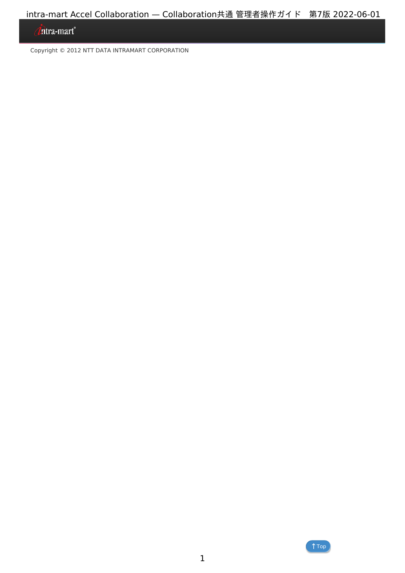## *Intra-mart*<sup>®</sup>

Copyright © 2012 NTT DATA INTRAMART CORPORATION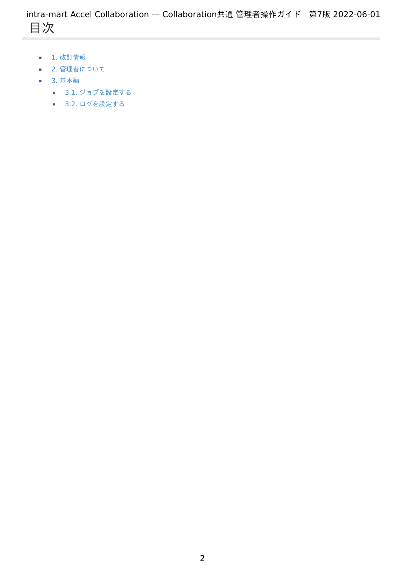- <span id="page-1-0"></span>1. 改訂情報
- 2. 管理者について
- 3. 基本編
	- 3.1. ジョブを設定する
	- 3.2. ログを設定する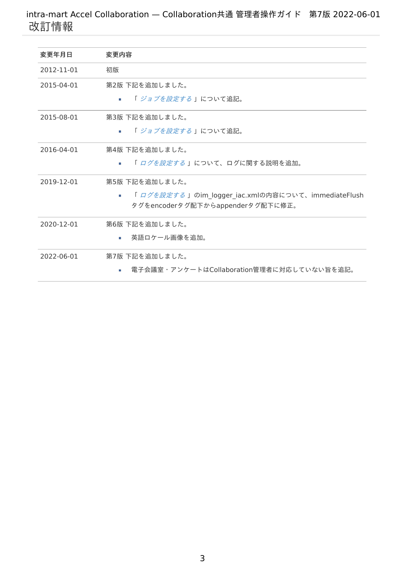| 変更年月日      | 変更内容                                                |
|------------|-----------------------------------------------------|
| 2012-11-01 | 初版                                                  |
| 2015-04-01 | 第2版 下記を追加しました。                                      |
|            | 「 <i>ジョブを設定する</i> 」について追記。<br>×.                    |
| 2015-08-01 | 第3版 下記を追加しました。                                      |
|            | 「 <i>ジョブを設定する</i> 」について追記。<br>×.                    |
| 2016-04-01 | 第4版 下記を追加しました。                                      |
|            | 「ログを設定する」について、ログに関する説明を追加。<br>×.                    |
| 2019-12-01 | 第5版 下記を追加しました。                                      |
|            | 「 ログを設定する 」のim logger iac.xmlの内容について、immediateFlush |
|            | タグをencoderタグ配下からappenderタグ配下に修正。                    |
| 2020-12-01 | 第6版 下記を追加しました。                                      |
|            | 英語ロケール画像を追加。<br>×.                                  |
| 2022-06-01 | 第7版 下記を追加しました。                                      |
|            | 電子会議室・アンケートはCollaboration管理者に対応していない旨を追記。<br>٠      |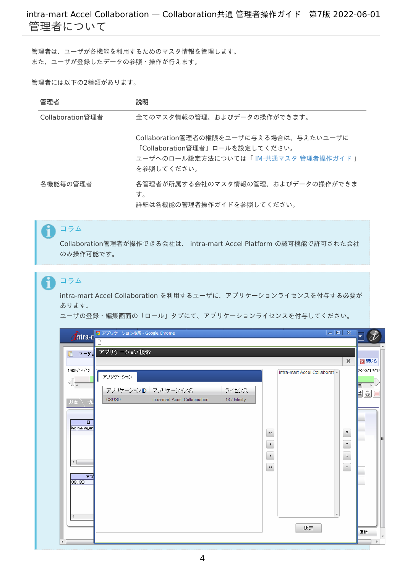管理者は、ユーザが各機能を利用するためのマスタ情報を管理します。 また、ユーザが登録したデータの参照・操作が行えます。

#### 管理者には以下の2種類があります。

| 管理者              | 説明                                                                                                                                 |
|------------------|------------------------------------------------------------------------------------------------------------------------------------|
| Collaboration管理者 | 全てのマスタ情報の管理、およびデータの操作ができます。                                                                                                        |
|                  | Collaboration管理者の権限をユーザに与える場合は、与えたいユーザに<br>「Collaboration管理者」ロールを設定してください。<br>ユーザへのロール設定方法については「 IM-共通マスタ 管理者操作ガイド I<br>を参照してください。 |
| 各機能毎の管理者         | 各管理者が所属する会社のマスタ情報の管理、およびデータの操作ができま<br>す。<br>詳細は各機能の管理者操作ガイドを参照してください。                                                              |

## コラム

H.

Collaboration管理者が操作できる会社は、 intra-mart Accel Platform の認可機能で許可された会社 のみ操作可能です。

## コラム

intra-mart Accel Collaboration を利用するユーザに、アプリケーションライセンスを付与する必要が あります。

ユーザの登録・編集画面の「ロール」タブにて、アプリケーションライセンスを付与してください。

|                                                                                        | Thtra-r コアプリケーション検索 - Google Chrome                                                                                                                                                                                                     |                                                                          |                          |
|----------------------------------------------------------------------------------------|-----------------------------------------------------------------------------------------------------------------------------------------------------------------------------------------------------------------------------------------|--------------------------------------------------------------------------|--------------------------|
| ユーザー<br>$\mathbb D$                                                                    | アプリケーション検索                                                                                                                                                                                                                              |                                                                          |                          |
| 1999/12/13<br>基本<br>O-<br>liac_manager<br>$\left  \cdot \right $<br>アブ<br><b>CSUSD</b> | intra-mart Accel Collaborat ^<br>アプリケーション<br>アプリケーションID アプリケーション名<br>ライセンス<br><b>CSUSD</b><br>intra-mart Accel Collaboration<br>13 / Infinity<br>$\blacktriangleright\!\!>$<br>$\blacktriangleright$<br>$\blacktriangleleft$<br>$\prec$ | $30^{\circ}$<br>$\bar{\hat{\tau}}$<br>$^\uparrow$<br>$\uparrow$<br>$\pm$ | 図閉じる<br>2000/12/12<br>自崇 |
| $\overline{4}$                                                                         | 決定                                                                                                                                                                                                                                      |                                                                          | 更新                       |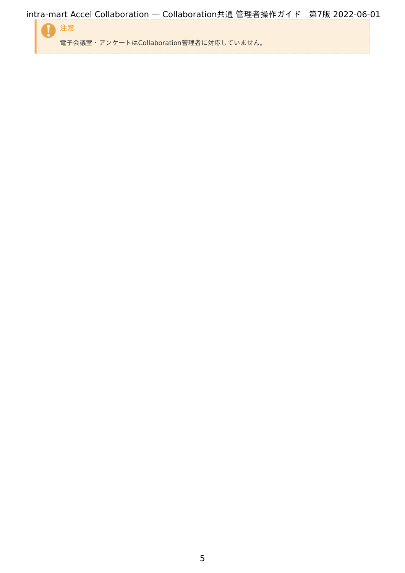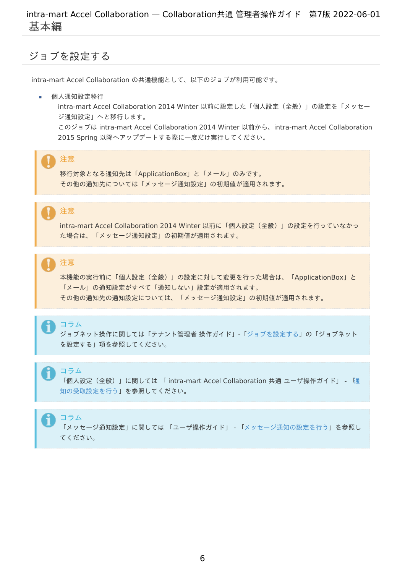## <span id="page-5-0"></span>ジョブを設定す[る](#page-5-0)

intra-mart Accel Collaboration の共通機能として、以下のジョブが利用可能です。

個人通知設定移行

intra-mart Accel Collaboration 2014 Winter 以前に設定した「個人設定(全般)」の設定を「メッセー ジ通知設定」へと移行します。

このジョブは intra-mart Accel Collaboration 2014 Winter 以前から、intra-mart Accel Collaboration 2015 Spring 以降へアップデートする際に一度だけ実行してください。

## 注意

移行対象となる通知先は「ApplicationBox」と「メール」のみです。 その他の通知先については「メッセージ通知設定」の初期値が適用されます。

# 注意

intra-mart Accel Collaboration 2014 Winter 以前に「個人設定(全般)」の設定を行っていなかっ た場合は、「メッセージ通知設定」の初期値が適用されます。

## 注意

本機能の実行前に「個人設定(全般)」の設定に対して変更を行った場合は、「ApplicationBox」と 「メール」の通知設定がすべて「通知しない」設定が適用されます。 その他の通知先の通知設定については、「メッセージ通知設定」の初期値が適用されます。

#### コラム

ジョブネット操作に関しては「テナント管理者 操作ガイド」-[「ジョブを設定する](http://www.intra-mart.jp/document/library/iap/public/operation/tenant_administrator_guide/texts/basic_guide/basic_guide_14.html)」の「ジョブネット を設定する」項を参照してください。

## コラム

「個人設定(全般)」に関しては 「 intra-mart Accel Collaboration 共通 ユーザ操作ガイド」 - 「通 [知の受取設定を行う」を参照してください。](http://www.intra-mart.jp/document/library/iac/public/iac_core/iac_core_user_guide/texts/basic_guide/basic_guide_1.html)

#### コラム

「メッセージ通知設定」に関しては 「ユーザ操作ガイド」 - [「メッセージ通知の設定を行う](http://www.intra-mart.jp/document/library/iap/public/operation/user_guide/texts/basic_guide/basic_guide_10.html)」を参照し てください。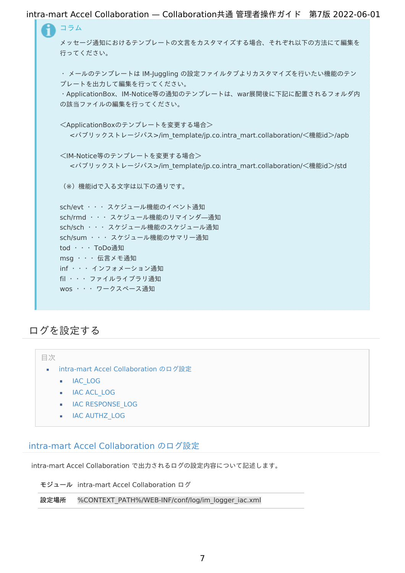| intra-mart Accel Collaboration — Collaboration共通 管理者操作ガイド 第7版 2022-06-01           |  |
|------------------------------------------------------------------------------------|--|
| コラム                                                                                |  |
| メッセージ通知におけるテンプレートの文言をカスタマイズする場合、それぞれ以下の方法にて編集を                                     |  |
| 行ってください。                                                                           |  |
| ・ メールのテンプレートは IM-Juggling の設定ファイルタブよりカスタマイズを行いたい機能のテン                              |  |
| プレートを出力して編集を行ってください。                                                               |  |
| · ApplicationBox、IM-Notice等の通知のテンプレートは、war展開後に下記に配置されるフォルダ内<br>の該当ファイルの編集を行ってください。 |  |
|                                                                                    |  |
| <applicationboxのテンプレートを変更する場合></applicationboxのテンプレートを変更する場合>                      |  |
| <パブリックストレージパス>/im_template/jp.co.intra_mart.collaboration/<機能id>/apb               |  |
| <im-notice等のテンプレートを変更する場合></im-notice等のテンプレートを変更する場合>                              |  |
| <パブリックストレージパス>/im template/jp.co.intra mart.collaboration/<機能id>/std               |  |
| (※)機能idで入る文字は以下の通りです。                                                              |  |
| sch/evt ··· スケジュール機能のイベント通知                                                        |  |
| sch/rmd ··· スケジュール機能のリマインダ―通知                                                      |  |
| sch/sch ··· スケジュール機能のスケジュール通知                                                      |  |
| sch/sum ··· スケジュール機能のサマリー通知                                                        |  |
| tod · · · ToDo通知                                                                   |  |
| msg ・・・ 伝言メモ通知                                                                     |  |
| inf · · · インフォメーション通知                                                              |  |
| fil ··· ファイルライブラリ通知                                                                |  |
| wos ··· ワークスペース通知                                                                  |  |
|                                                                                    |  |
|                                                                                    |  |

## ログを設定す[る](#page-10-0)

目次

- <span id="page-6-3"></span><span id="page-6-2"></span><span id="page-6-1"></span><span id="page-6-0"></span>intra-mart Accel [Collaboration](#page-10-1) のログ設定  $\mathbf{r}$ 
	- [IAC\\_LOG](#page-11-0)
	- **IAC [ACL\\_LOG](#page-12-0)**
	- **IAC [RESPONSE\\_LOG](#page-13-0)**
	- **I**AC [AUTHZ\\_LOG](#page-13-1)

## <span id="page-6-4"></span>intra-mart Accel [Collaboration](#page-6-0) のログ設定

intra-mart Accel Collaboration で出力されるログの設定内容について記述します。

モジュール intra-mart Accel Collaboration ログ

設定場所 %CONTEXT\_PATH%/WEB-INF/conf/log/im\_logger\_iac.xml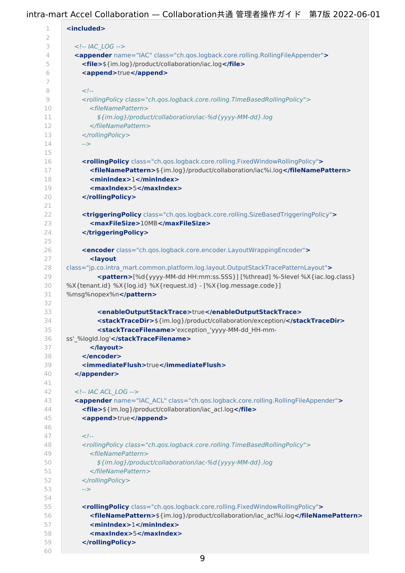| 1             | <included></included>                                                                                                                                                          |
|---------------|--------------------------------------------------------------------------------------------------------------------------------------------------------------------------------|
| 2             |                                                                                                                                                                                |
| 3             | $-- IAC LOG -->$                                                                                                                                                               |
| 4             | <appender class="ch.qos.logback.core.rolling.RollingFileAppender" name="IAC"></appender>                                                                                       |
| 5             | <file>\${im.log}/product/collaboration/iac.log</file>                                                                                                                          |
| 6             | <append>true</append>                                                                                                                                                          |
| 7             |                                                                                                                                                                                |
| 8             | $\lt!$ !--                                                                                                                                                                     |
| $\mathcal{Q}$ | <rollingpolicy class="ch.gos.logback.core.rolling.TimeBasedRollingPolicy"></rollingpolicy>                                                                                     |
| 10            | <filenamepattern></filenamepattern>                                                                                                                                            |
| 11            | \${im.log}/product/collaboration/iac-%d{yyyy-MM-dd}.log                                                                                                                        |
| 12            |                                                                                                                                                                                |
| 13<br>14      |                                                                                                                                                                                |
|               | $\rightarrow$                                                                                                                                                                  |
| 15            |                                                                                                                                                                                |
| 16<br>17      | <rollingpolicy class="ch.qos.logback.core.rolling.FixedWindowRollingPolicy"><br/><filenamepattern>\${im.log}/product/collaboration/iac%i.log</filenamepattern></rollingpolicy> |
| 18            | <minindex>1</minindex>                                                                                                                                                         |
| 19            | <maxindex>5</maxindex>                                                                                                                                                         |
| 20            |                                                                                                                                                                                |
| 21            |                                                                                                                                                                                |
| 22            | <triggeringpolicy class="ch.gos.logback.core.rolling.SizeBasedTriggeringPolicy"></triggeringpolicy>                                                                            |
| 23            | <maxfilesize>10MB</maxfilesize>                                                                                                                                                |
| 24            |                                                                                                                                                                                |
| 25            |                                                                                                                                                                                |
| 26            | <encoder class="ch.qos.logback.core.encoder.LayoutWrappingEncoder"></encoder>                                                                                                  |
| 27            | <layout< th=""></layout<>                                                                                                                                                      |
| 28            | class="jp.co.intra_mart.common.platform.log.layout.OutputStackTracePatternLayout">                                                                                             |
| 29            | <pattern>[%d{yyyy-MM-dd HH:mm:ss.SSS}] [%thread] %-5level %X{iac.log.class}</pattern>                                                                                          |
| 30            | %X{tenant.id} %X{log.id} %X{request.id} - [%X{log.message.code}]                                                                                                               |
| 31            | %msg%nopex%n                                                                                                                                                                   |
| 32            |                                                                                                                                                                                |
| 33            | <enableoutputstacktrace>true</enableoutputstacktrace>                                                                                                                          |
| 34            | <stacktracedir>\${im.log}/product/collaboration/exception/</stacktracedir>                                                                                                     |
| 35            | <stacktracefilename>'exception 'yyyy-MM-dd HH-mm-</stacktracefilename>                                                                                                         |
| 36            | ss' %logId.log'                                                                                                                                                                |
| 37            |                                                                                                                                                                                |
| 38            |                                                                                                                                                                                |
| 39            | <immediateflush>true</immediateflush>                                                                                                                                          |
| 40            |                                                                                                                                                                                |
| 41            |                                                                                                                                                                                |
| 42            | $-- IAC ACL LOG -->$                                                                                                                                                           |
| 43            | <appender class="ch.qos.logback.core.rolling.RollingFileAppender" name="IAC ACL"></appender>                                                                                   |
| 44            | <file>\${im.log}/product/collaboration/iac_acl.log</file>                                                                                                                      |
| 45            | <append>true</append>                                                                                                                                                          |
| 46            |                                                                                                                                                                                |
| 47            | $\lt!$ !--                                                                                                                                                                     |
| 48            | <rollingpolicy class="ch.qos.logback.core.rolling.TimeBasedRollingPolicy"></rollingpolicy>                                                                                     |
| 49            | <filenamepattern></filenamepattern>                                                                                                                                            |
| 50            | \${im.log}/product/collaboration/iac-%d{yyyy-MM-dd}.log                                                                                                                        |
| 51<br>52      |                                                                                                                                                                                |
| 53            | <br>-->                                                                                                                                                                        |
| 54            |                                                                                                                                                                                |
| 55            | <rollingpolicy class="ch.qos.logback.core.rolling.FixedWindowRollingPolicy"></rollingpolicy>                                                                                   |
| 56            | <filenamepattern>\${im.log}/product/collaboration/iac acl%i.log</filenamepattern>                                                                                              |
| 57            | <minindex>1</minindex>                                                                                                                                                         |
| 58            | <maxindex>5</maxindex>                                                                                                                                                         |
| 59            |                                                                                                                                                                                |
| 60            |                                                                                                                                                                                |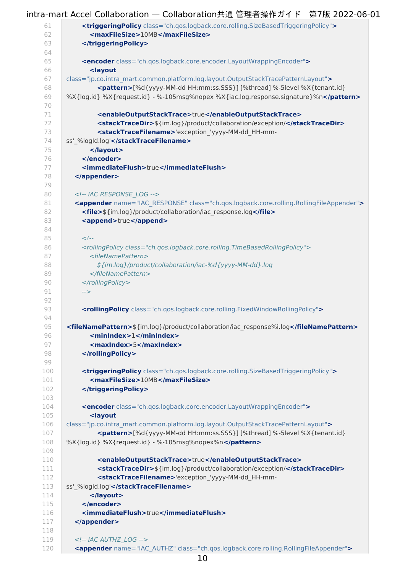#### 60 intra-mart Accel Collaboration — Collaboration共通 管理者操作ガイド 第7版 2022-06-01 61 62 63  $64$ 65 66 67 68 69 70 71 72 73 74 75 76 77 78 79 80 81 82 83 84 85 86 87 88 89 90 91 92 93  $Q_4$  $Q5$ 96 97 98 99 100 101 102 103 104 105 106 107 108 109 110 111 112 113 114 115 116 117 118 119 120 **<triggeringPolicy** class="ch.qos.logback.core.rolling.SizeBasedTriggeringPolicy"**> <maxFileSize>**10MB**</maxFileSize> </triggeringPolicy> <encoder** class="ch.qos.logback.core.encoder.LayoutWrappingEncoder"**> <layout** class="jp.co.intra\_mart.common.platform.log.layout.OutputStackTracePatternLayout"**> <pattern>**[%d{yyyy-MM-dd HH:mm:ss.SSS}] [%thread] %-5level %X{tenant.id} %X{log.id} %X{request.id} - %-105msg%nopex %X{iac.log.response.signature}%n**</pattern> <enableOutputStackTrace>**true**</enableOutputStackTrace> <stackTraceDir>**\${im.log}/product/collaboration/exception/**</stackTraceDir> <stackTraceFilename>**'exception\_'yyyy-MM-dd\_HH-mmss'\_%logId.log'**</stackTraceFilename> </layout> </encoder> <immediateFlush>**true**</immediateFlush> </appender>** <!-- IAC RESPONSE\_LOG --> **<appender** name="IAC\_RESPONSE" class="ch.qos.logback.core.rolling.RollingFileAppender"**> <file>**\${im.log}/product/collaboration/iac\_response.log**</file> <append>**true**</append>**  $<!--</math>$ <rollingPolicy class="ch.qos.logback.core.rolling.TimeBasedRollingPolicy"> <fileNamePattern> \${im.log}/product/collaboration/iac-%d{yyyy-MM-dd}.log </fileNamePattern> </rollingPolicy> --> **<rollingPolicy** class="ch.qos.logback.core.rolling.FixedWindowRollingPolicy"**> <fileNamePattern>**\${im.log}/product/collaboration/iac\_response%i.log**</fileNamePattern> <minIndex>**1**</minIndex> <maxIndex>**5**</maxIndex> </rollingPolicy> <triggeringPolicy** class="ch.qos.logback.core.rolling.SizeBasedTriggeringPolicy"**> <maxFileSize>**10MB**</maxFileSize> </triggeringPolicy> <encoder** class="ch.qos.logback.core.encoder.LayoutWrappingEncoder"**> <layout** class="jp.co.intra\_mart.common.platform.log.layout.OutputStackTracePatternLayout"**> <pattern>**[%d{yyyy-MM-dd HH:mm:ss.SSS}] [%thread] %-5level %X{tenant.id} %X{log.id} %X{request.id} - %-105msg%nopex%n**</pattern> <enableOutputStackTrace>**true**</enableOutputStackTrace> <stackTraceDir>**\${im.log}/product/collaboration/exception/**</stackTraceDir> <stackTraceFilename>**'exception\_'yyyy-MM-dd\_HH-mmss'\_%logId.log'**</stackTraceFilename> </layout> </encoder> <immediateFlush>**true**</immediateFlush> </appender>** <!-- IAC AUTHZ\_LOG --> **<appender** name="IAC\_AUTHZ" class="ch.qos.logback.core.rolling.RollingFileAppender"**>**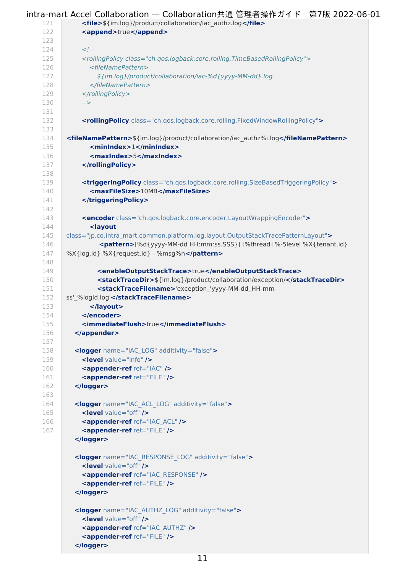<span id="page-10-1"></span><span id="page-10-0"></span>

| 121        | <file>\${im.log}/product/collaboration/iac_authz.log</file>                                         |
|------------|-----------------------------------------------------------------------------------------------------|
| 122        | <append>true</append>                                                                               |
| 123        |                                                                                                     |
| 124        | $\lt!$ !--                                                                                          |
| 125        | <rollingpolicy class="ch.gos.logback.core.rolling.TimeBasedRollingPolicy"></rollingpolicy>          |
| 126        | <filenamepattern></filenamepattern>                                                                 |
| 127        | \${im.log}/product/collaboration/iac-%d{yyyy-MM-dd}.log                                             |
| 128        |                                                                                                     |
| 129        |                                                                                                     |
| 130        | $\rightarrow$                                                                                       |
| 131        |                                                                                                     |
| 132        | <rollingpolicy class="ch.qos.logback.core.rolling.FixedWindowRollingPolicy"></rollingpolicy>        |
| 133        |                                                                                                     |
| 134        | <filenamepattern>\${im.log}/product/collaboration/iac authz%i.log</filenamepattern>                 |
| 135        | <minindex>1</minindex>                                                                              |
| 136<br>137 | <maxindex>5</maxindex><br>                                                                          |
| 138        |                                                                                                     |
| 139        | <triggeringpolicy class="ch.qos.logback.core.rolling.SizeBasedTriggeringPolicy"></triggeringpolicy> |
| 140        | <maxfilesize>10MB</maxfilesize>                                                                     |
| 141        |                                                                                                     |
| 142        |                                                                                                     |
| 143        | <encoder class="ch.qos.logback.core.encoder.LayoutWrappingEncoder"></encoder>                       |
| 144        | <layout< th=""></layout<>                                                                           |
| 145        | class="jp.co.intra mart.common.platform.log.layout.OutputStackTracePatternLayout">                  |
| 146        | <pattern>[%d{yyyy-MM-dd HH:mm:ss.SSS}] [%thread] %-5level %X{tenant.id}</pattern>                   |
| 147        | %X{log.id} %X{request.id} - %msg%n                                                                  |
| 148        |                                                                                                     |
| 149        | <enableoutputstacktrace>true</enableoutputstacktrace>                                               |
| 150        | <stacktracedir>\${im.log}/product/collaboration/exception/</stacktracedir>                          |
| 151        | <stacktracefilename>'exception 'yyyy-MM-dd HH-mm-</stacktracefilename>                              |
| 152        | ss'_%logId.log'                                                                                     |
| 153        |                                                                                                     |
| 154        |                                                                                                     |
| 155        | <immediateflush>true</immediateflush>                                                               |
| 156<br>157 |                                                                                                     |
| 158        | <logger additivity="false" name="IAC LOG"></logger>                                                 |
| 159        | <level value="info"></level>                                                                        |
| 160        | <appender-ref ref="IAC"></appender-ref>                                                             |
| 161        | <appender-ref ref="FILE"></appender-ref>                                                            |
| 162        |                                                                                                     |
| 163        |                                                                                                     |
| 164        | <logger additivity="false" name="IAC ACL LOG"></logger>                                             |
| 165        | <level value="off"></level>                                                                         |
| 166        | <appender-ref ref="IAC ACL"></appender-ref>                                                         |
| 167        | <appender-ref ref="FILE"></appender-ref>                                                            |
|            |                                                                                                     |
|            |                                                                                                     |
|            | <logger additivity="false" name="IAC RESPONSE LOG"></logger>                                        |
|            | <level value="off"></level>                                                                         |
|            | <appender-ref ref="IAC RESPONSE"></appender-ref>                                                    |
|            | <appender-ref ref="FILE"></appender-ref>                                                            |
|            |                                                                                                     |
|            | <logger additivity="false" name="IAC_AUTHZ_LOG"></logger>                                           |
|            | <level value="off"></level>                                                                         |
|            | <appender-ref ref="IAC AUTHZ"></appender-ref>                                                       |
|            | <appender-ref ref="FILE"></appender-ref>                                                            |
|            |                                                                                                     |
|            |                                                                                                     |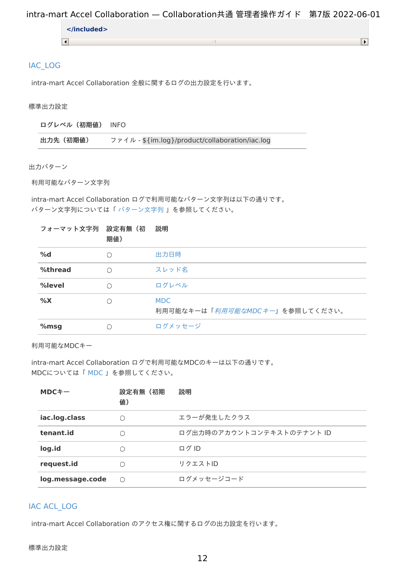#### <span id="page-11-0"></span>[IAC\\_LOG](#page-6-1)

intra-mart Accel Collaboration 全般に関するログの出力設定を行います。

<span id="page-11-1"></span>標準出力設[定](#page-11-1)

ログレベル(初期値) INFO

| 出力先 (初期値) | ファイル - \$ {im.log}/product/collaboration/iac.log |
|-----------|--------------------------------------------------|
|-----------|--------------------------------------------------|

<span id="page-11-2"></span>出力パター[ン](#page-11-2)

<span id="page-11-3"></span>利用可能なパターン文字[列](#page-11-3)

intra-mart Accel Collaboration ログで利用可能なパターン文字列は以下の通りです。 パターン文字列については「 [パターン文字列](http://www.intra-mart.jp/document/library/iap/public/im_core/im_log_specification/texts/appendix/index.html#patternstring) 」を参照してください。

| フォーマット文字列 設定有無 (初 | 期值) | 説明                                           |
|-------------------|-----|----------------------------------------------|
| %d                | Ω   | 出力日時                                         |
| %thread           | ∩   | スレッド名                                        |
| %level            | ∩   | ログレベル                                        |
| $\%X$             | ∩   | <b>MDC</b><br>利用可能なキーは「利用可能なMDCキー」を参照してください。 |
| $%$ msg           | C   | ログメッセージ                                      |

利用可能なMDCキー

intra-mart Accel Collaboration ログで利用可能なMDCのキーは以下の通りです。 MDCについては「 [MDC](http://www.intra-mart.jp/document/library/iap/public/im_core/im_log_specification/texts/appendix/index.html#patternstringmdc) 」を参照してください。

| $MDC+-$          | 設定有無(初期<br>值) | 説明                        |
|------------------|---------------|---------------------------|
| iac.log.class    | ∩             | エラーが発生したクラス               |
| tenant.id        |               | ログ出力時のアカウントコンテキストのテナント ID |
| log.id           | $\bigcap$     | ログ ID                     |
| request.id       |               | リクエストID                   |
| log.message.code | ∩             | ログメッセージコード                |

## IAC [ACL\\_LOG](#page-6-2)

intra-mart Accel Collaboration のアクセス権に関するログの出力設定を行います。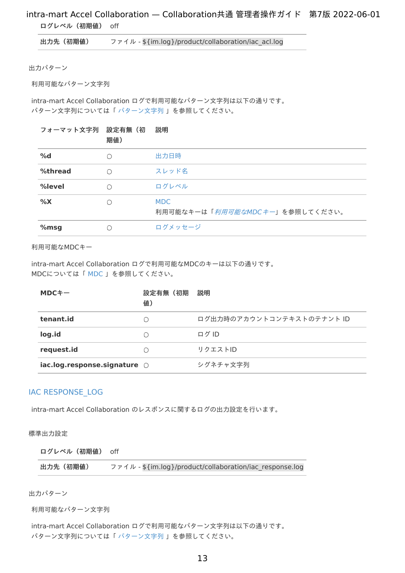<span id="page-12-1"></span><span id="page-12-0"></span>ログレベル(初期値) off

出力先 (初期値) ファイル - \${im.log}/product/collaboration/iac\_acl.log

<span id="page-12-2"></span>出力パター[ン](#page-12-2)

<span id="page-12-3"></span>利用可能なパターン文字[列](#page-12-3)

intra-mart Accel Collaboration ログで利用可能なパターン文字列は以下の通りです。 パターン文字列については「 [パターン文字列](http://www.intra-mart.jp/document/library/iap/public/im_core/im_log_specification/texts/appendix/index.html#patternstring) 」を参照してください。

#### フォーマット文字列 設定有無(初 説明

|         | 期值) |                                              |
|---------|-----|----------------------------------------------|
| %d      | ∩   | 出力日時                                         |
| %thread | ∩   | スレッド名                                        |
| %level  | ∩   | ログレベル                                        |
| %X      | ∩   | <b>MDC</b><br>利用可能なキーは「利用可能なMDCキー」を参照してください。 |
| $%$ msg | ( ) | ログメッセージ                                      |

利用可能なMDCキー

intra-mart Accel Collaboration ログで利用可能なMDCのキーは以下の通りです。 MDCについては「 [MDC](http://www.intra-mart.jp/document/library/iap/public/im_core/im_log_specification/texts/appendix/index.html#patternstringmdc) 」を参照してください。

| $MDC+-$                                  | 設定有無(初期<br>值) | 説明                        |
|------------------------------------------|---------------|---------------------------|
| tenant.id                                | $\bigcap$     | ログ出力時のアカウントコンテキストのテナント ID |
| log.id                                   | ∩             | ログ ID                     |
| request.id                               | ( )           | リクエストID                   |
| $i$ ac.log.response.signature $\bigcirc$ |               | シグネチャ文字列                  |

#### IAC [RESPONSE\\_LOG](#page-6-3)

intra-mart Accel Collaboration のレスポンスに関するログの出力設定を行います。

<span id="page-12-4"></span>標準出力設[定](#page-12-4)

ログレベル(初期値) off

出力先 (初期値) ファイル - \${im.log}/product/collaboration/iac\_response.log

出力パター[ン](#page-13-2)

利用可能なパターン文字[列](#page-13-3)

intra-mart Accel Collaboration ログで利用可能なパターン文字列は以下の通りです。 パターン文字列については「 [パターン文字列](http://www.intra-mart.jp/document/library/iap/public/im_core/im_log_specification/texts/appendix/index.html#patternstring) 」を参照してください。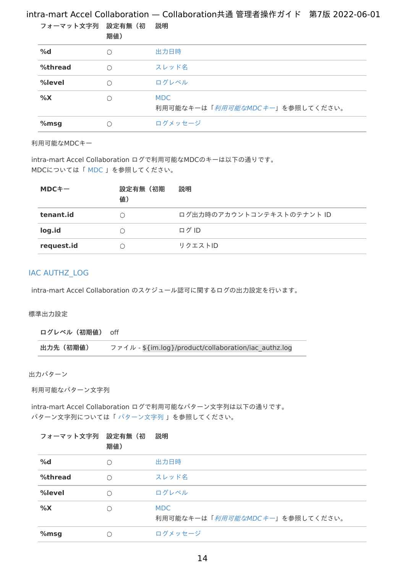<span id="page-13-3"></span><span id="page-13-2"></span><span id="page-13-0"></span>

|                   |     | $75.77 \times 100$                           |
|-------------------|-----|----------------------------------------------|
| フォーマット文字列 設定有無 (初 | 期值) | 説明                                           |
| %d                | ∩   | 出力日時                                         |
| %thread           | ∩   | スレッド名                                        |
| %level            | ∩   | ログレベル                                        |
| %X                |     | <b>MDC</b><br>利用可能なキーは「利用可能なMDCキー」を参照してください。 |
| % $msg$           |     | ログメッセージ                                      |

#### 利用可能なMDCキー

intra-mart Accel Collaboration ログで利用可能なMDCのキーは以下の通りです。 MDCについては「 [MDC](http://www.intra-mart.jp/document/library/iap/public/im_core/im_log_specification/texts/appendix/index.html#patternstringmdc) 」を参照してください。

| $MDC+-$    | 設定有無(初期<br>值) | 説明                        |
|------------|---------------|---------------------------|
| tenant.id  | ( )           | ログ出力時のアカウントコンテキストのテナント ID |
| log.id     | ( )           | ログID                      |
| request.id | ( )           | リクエストID                   |

#### <span id="page-13-1"></span>IAC [AUTHZ\\_LOG](#page-6-4)

intra-mart Accel Collaboration のスケジュール認可に関するログの出力設定を行います。

#### <span id="page-13-4"></span>標準出力設[定](#page-13-4)

ログレベル(初期値) off

出力先 (初期値) ファイル - \${im.log}/product/collaboration/iac\_authz.log

<span id="page-13-5"></span>出力パター[ン](#page-13-5)

<span id="page-13-6"></span>利用可能なパターン文字[列](#page-13-6)

intra-mart Accel Collaboration ログで利用可能なパターン文字列は以下の通りです。 パターン文字列については「 [パターン文字列](http://www.intra-mart.jp/document/library/iap/public/im_core/im_log_specification/texts/appendix/index.html#patternstring) 」を参照してください。

| フォーマット文字列 設定有無 (初 | 期值)        | 説明                                           |
|-------------------|------------|----------------------------------------------|
| %d                | $\bigcirc$ | 出力日時                                         |
| %thread           | $\bigcap$  | スレッド名                                        |
| %level            | ∩          | ログレベル                                        |
| %X                | ∩          | <b>MDC</b><br>利用可能なキーは「利用可能なMDCキー」を参照してください。 |
| % $msg$           | 〔 〕        | ログメッセージ                                      |